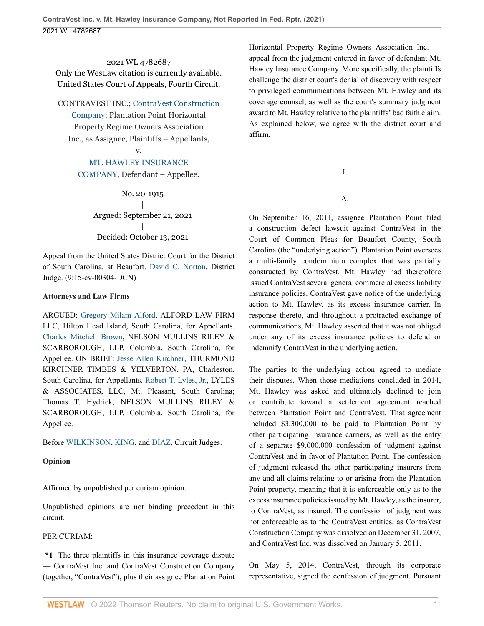2021 WL 4782687 Only the Westlaw citation is currently available. United States Court of Appeals, Fourth Circuit.

CONTRAVEST INC.; [ContraVest Construction](http://www.westlaw.com/Search/Results.html?query=advanced%3a+WCAID(IEFECC2D063E011E0B50DDE267DF909C1)&saveJuris=False&contentType=BUSINESS-INVESTIGATOR&startIndex=1&contextData=(sc.Default)&categoryPageUrl=Home%2fCompanyInvestigator&originationContext=document&vr=3.0&rs=cblt1.0&transitionType=DocumentItem)

[Company;](http://www.westlaw.com/Search/Results.html?query=advanced%3a+WCAID(IEFECC2D063E011E0B50DDE267DF909C1)&saveJuris=False&contentType=BUSINESS-INVESTIGATOR&startIndex=1&contextData=(sc.Default)&categoryPageUrl=Home%2fCompanyInvestigator&originationContext=document&vr=3.0&rs=cblt1.0&transitionType=DocumentItem) Plantation Point Horizontal Property Regime Owners Association Inc., as Assignee, Plaintiffs – Appellants,

v.

# [MT. HAWLEY INSURANCE](http://www.westlaw.com/Search/Results.html?query=advanced%3a+WCAID(I0EA0E350E1EC11DEAB49EC13A692F1C6)&saveJuris=False&contentType=BUSINESS-INVESTIGATOR&startIndex=1&contextData=(sc.Default)&categoryPageUrl=Home%2fCompanyInvestigator&originationContext=document&vr=3.0&rs=cblt1.0&transitionType=DocumentItem)

[COMPANY](http://www.westlaw.com/Search/Results.html?query=advanced%3a+WCAID(I0EA0E350E1EC11DEAB49EC13A692F1C6)&saveJuris=False&contentType=BUSINESS-INVESTIGATOR&startIndex=1&contextData=(sc.Default)&categoryPageUrl=Home%2fCompanyInvestigator&originationContext=document&vr=3.0&rs=cblt1.0&transitionType=DocumentItem), Defendant – Appellee.

No. 20-1915 | Argued: September 21, 2021 | Decided: October 13, 2021

Appeal from the United States District Court for the District of South Carolina, at Beaufort. [David C. Norton](http://www.westlaw.com/Link/Document/FullText?findType=h&pubNum=176284&cite=0516826501&originatingDoc=Id1a47f902d1311ec9510c3a598b996ba&refType=RQ&originationContext=document&vr=3.0&rs=cblt1.0&transitionType=DocumentItem&contextData=(sc.UserEnteredCitation)), District Judge. (9:15-cv-00304-DCN)

## **Attorneys and Law Firms**

ARGUED: [Gregory Milam Alford,](http://www.westlaw.com/Link/Document/FullText?findType=h&pubNum=176284&cite=0214388201&originatingDoc=Id1a47f902d1311ec9510c3a598b996ba&refType=RQ&originationContext=document&vr=3.0&rs=cblt1.0&transitionType=DocumentItem&contextData=(sc.UserEnteredCitation)) ALFORD LAW FIRM LLC, Hilton Head Island, South Carolina, for Appellants. [Charles Mitchell Brown,](http://www.westlaw.com/Link/Document/FullText?findType=h&pubNum=176284&cite=0515101301&originatingDoc=Id1a47f902d1311ec9510c3a598b996ba&refType=RQ&originationContext=document&vr=3.0&rs=cblt1.0&transitionType=DocumentItem&contextData=(sc.UserEnteredCitation)) NELSON MULLINS RILEY & SCARBOROUGH, LLP, Columbia, South Carolina, for Appellee. ON BRIEF: [Jesse Allen Kirchner](http://www.westlaw.com/Link/Document/FullText?findType=h&pubNum=176284&cite=0330634601&originatingDoc=Id1a47f902d1311ec9510c3a598b996ba&refType=RQ&originationContext=document&vr=3.0&rs=cblt1.0&transitionType=DocumentItem&contextData=(sc.UserEnteredCitation)), THURMOND KIRCHNER TIMBES & YELVERTON, PA, Charleston, South Carolina, for Appellants. [Robert T. Lyles, Jr.](http://www.westlaw.com/Link/Document/FullText?findType=h&pubNum=176284&cite=0341658301&originatingDoc=Id1a47f902d1311ec9510c3a598b996ba&refType=RQ&originationContext=document&vr=3.0&rs=cblt1.0&transitionType=DocumentItem&contextData=(sc.UserEnteredCitation)), LYLES & ASSOCIATES, LLC, Mt. Pleasant, South Carolina; Thomas T. Hydrick, NELSON MULLINS RILEY & SCARBOROUGH, LLP, Columbia, South Carolina, for Appellee.

Before [WILKINSON](http://www.westlaw.com/Link/Document/FullText?findType=h&pubNum=176284&cite=0204886001&originatingDoc=Id1a47f902d1311ec9510c3a598b996ba&refType=RQ&originationContext=document&vr=3.0&rs=cblt1.0&transitionType=DocumentItem&contextData=(sc.UserEnteredCitation)), [KING](http://www.westlaw.com/Link/Document/FullText?findType=h&pubNum=176284&cite=0310820401&originatingDoc=Id1a47f902d1311ec9510c3a598b996ba&refType=RQ&originationContext=document&vr=3.0&rs=cblt1.0&transitionType=DocumentItem&contextData=(sc.UserEnteredCitation)), and [DIAZ](http://www.westlaw.com/Link/Document/FullText?findType=h&pubNum=176284&cite=0324752701&originatingDoc=Id1a47f902d1311ec9510c3a598b996ba&refType=RQ&originationContext=document&vr=3.0&rs=cblt1.0&transitionType=DocumentItem&contextData=(sc.UserEnteredCitation)), Circuit Judges.

### **Opinion**

Affirmed by unpublished per curiam opinion.

Unpublished opinions are not binding precedent in this circuit.

### PER CURIAM:

**\*1** The three plaintiffs in this insurance coverage dispute — ContraVest Inc. and ContraVest Construction Company (together, "ContraVest"), plus their assignee Plantation Point

Horizontal Property Regime Owners Association Inc. appeal from the judgment entered in favor of defendant Mt. Hawley Insurance Company. More specifically, the plaintiffs challenge the district court's denial of discovery with respect to privileged communications between Mt. Hawley and its coverage counsel, as well as the court's summary judgment award to Mt. Hawley relative to the plaintiffs' bad faith claim. As explained below, we agree with the district court and affirm.

I.

# A.

On September 16, 2011, assignee Plantation Point filed a construction defect lawsuit against ContraVest in the Court of Common Pleas for Beaufort County, South Carolina (the "underlying action"). Plantation Point oversees a multi-family condominium complex that was partially constructed by ContraVest. Mt. Hawley had theretofore issued ContraVest several general commercial excess liability insurance policies. ContraVest gave notice of the underlying action to Mt. Hawley, as its excess insurance carrier. In response thereto, and throughout a protracted exchange of communications, Mt. Hawley asserted that it was not obliged under any of its excess insurance policies to defend or indemnify ContraVest in the underlying action.

The parties to the underlying action agreed to mediate their disputes. When those mediations concluded in 2014, Mt. Hawley was asked and ultimately declined to join or contribute toward a settlement agreement reached between Plantation Point and ContraVest. That agreement included \$3,300,000 to be paid to Plantation Point by other participating insurance carriers, as well as the entry of a separate \$9,000,000 confession of judgment against ContraVest and in favor of Plantation Point. The confession of judgment released the other participating insurers from any and all claims relating to or arising from the Plantation Point property, meaning that it is enforceable only as to the excess insurance policies issued by Mt. Hawley, as the insurer, to ContraVest, as insured. The confession of judgment was not enforceable as to the ContraVest entities, as ContraVest Construction Company was dissolved on December 31, 2007, and ContraVest Inc. was dissolved on January 5, 2011.

On May 5, 2014, ContraVest, through its corporate representative, signed the confession of judgment. Pursuant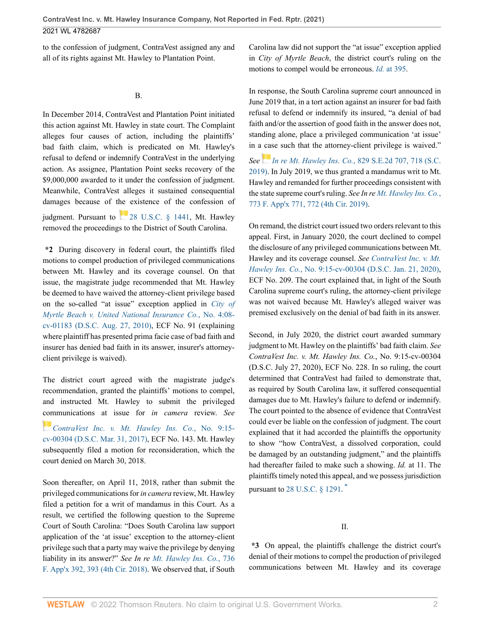to the confession of judgment, ContraVest assigned any and all of its rights against Mt. Hawley to Plantation Point.

B.

In December 2014, ContraVest and Plantation Point initiated this action against Mt. Hawley in state court. The Complaint alleges four causes of action, including the plaintiffs' bad faith claim, which is predicated on Mt. Hawley's refusal to defend or indemnify ContraVest in the underlying action. As assignee, Plantation Point seeks recovery of the \$9,000,000 awarded to it under the confession of judgment. Meanwhile, ContraVest alleges it sustained consequential damages because of the existence of the confession of judgment. Pursuant to [28 U.S.C. § 1441,](http://www.westlaw.com/Link/Document/FullText?findType=L&pubNum=1000546&cite=28USCAS1441&originatingDoc=Id1a47f902d1311ec9510c3a598b996ba&refType=LQ&originationContext=document&vr=3.0&rs=cblt1.0&transitionType=DocumentItem&contextData=(sc.UserEnteredCitation)) Mt. Hawley removed the proceedings to the District of South Carolina.

**\*2** During discovery in federal court, the plaintiffs filed motions to compel production of privileged communications between Mt. Hawley and its coverage counsel. On that issue, the magistrate judge recommended that Mt. Hawley be deemed to have waived the attorney-client privilege based on the so-called "at issue" exception applied in *[City of](http://www.westlaw.com/Link/Document/FullText?findType=Y&serNum=2042096328&pubNum=0004031&originatingDoc=Id1a47f902d1311ec9510c3a598b996ba&refType=RP&originationContext=document&vr=3.0&rs=cblt1.0&transitionType=DocumentItem&contextData=(sc.UserEnteredCitation)) [Myrtle Beach v. United National Insurance Co.](http://www.westlaw.com/Link/Document/FullText?findType=Y&serNum=2042096328&pubNum=0004031&originatingDoc=Id1a47f902d1311ec9510c3a598b996ba&refType=RP&originationContext=document&vr=3.0&rs=cblt1.0&transitionType=DocumentItem&contextData=(sc.UserEnteredCitation))*, No. 4:08 [cv-01183 \(D.S.C. Aug. 27, 2010\),](http://www.westlaw.com/Link/Document/FullText?findType=Y&serNum=2042096328&pubNum=0004031&originatingDoc=Id1a47f902d1311ec9510c3a598b996ba&refType=RP&originationContext=document&vr=3.0&rs=cblt1.0&transitionType=DocumentItem&contextData=(sc.UserEnteredCitation)) ECF No. 91 (explaining where plaintiff has presented prima facie case of bad faith and insurer has denied bad faith in its answer, insurer's attorneyclient privilege is waived).

The district court agreed with the magistrate judge's recommendation, granted the plaintiffs' motions to compel, and instructed Mt. Hawley to submit the privileged [com](https://1.next.westlaw.com/Link/RelatedInformation/Flag?documentGuid=I59e1c2e0167211e7bc7a881983352365&transitionType=InlineKeyCiteFlags&originationContext=docHeaderFlag&Rank=0&ppcid=a69cbdeea774471ea2d3aafc2e040b83&contextData=(sc.UserEnteredCitation) )munications at issue for *in camera* review. *See*

*[ContraVest Inc. v. Mt. Hawley Ins. Co.](http://www.westlaw.com/Link/Document/FullText?findType=Y&serNum=2041345104&pubNum=0004031&originatingDoc=Id1a47f902d1311ec9510c3a598b996ba&refType=RP&originationContext=document&vr=3.0&rs=cblt1.0&transitionType=DocumentItem&contextData=(sc.UserEnteredCitation))*, No. 9:15 [cv-00304 \(D.S.C. Mar. 31, 2017\)](http://www.westlaw.com/Link/Document/FullText?findType=Y&serNum=2041345104&pubNum=0004031&originatingDoc=Id1a47f902d1311ec9510c3a598b996ba&refType=RP&originationContext=document&vr=3.0&rs=cblt1.0&transitionType=DocumentItem&contextData=(sc.UserEnteredCitation)), ECF No. 143. Mt. Hawley subsequently filed a motion for reconsideration, which the court denied on March 30, 2018.

Soon thereafter, on April 11, 2018, rather than submit the privileged communications for *in camera* review, Mt. Hawley filed a petition for a writ of mandamus in this Court. As a result, we certified the following question to the Supreme Court of South Carolina: "Does South Carolina law support application of the 'at issue' exception to the attorney-client privilege such that a party may waive the privilege by denying liability in its answer?" *See In re [Mt. Hawley Ins. Co.](http://www.westlaw.com/Link/Document/FullText?findType=Y&serNum=2044845228&pubNum=0006538&originatingDoc=Id1a47f902d1311ec9510c3a598b996ba&refType=RP&fi=co_pp_sp_6538_393&originationContext=document&vr=3.0&rs=cblt1.0&transitionType=DocumentItem&contextData=(sc.UserEnteredCitation)#co_pp_sp_6538_393)*, 736 [F. App'x 392, 393 \(4th Cir. 2018\)](http://www.westlaw.com/Link/Document/FullText?findType=Y&serNum=2044845228&pubNum=0006538&originatingDoc=Id1a47f902d1311ec9510c3a598b996ba&refType=RP&fi=co_pp_sp_6538_393&originationContext=document&vr=3.0&rs=cblt1.0&transitionType=DocumentItem&contextData=(sc.UserEnteredCitation)#co_pp_sp_6538_393). We observed that, if South Carolina law did not support the "at issue" exception applied in *City of Myrtle Beach*, the district court's ruling on the motions to compel would be erroneous. *Id.* [at 395.](http://www.westlaw.com/Link/Document/FullText?findType=Y&serNum=2044845228&pubNum=0006538&originatingDoc=Id1a47f902d1311ec9510c3a598b996ba&refType=RP&fi=co_pp_sp_6538_395&originationContext=document&vr=3.0&rs=cblt1.0&transitionType=DocumentItem&contextData=(sc.UserEnteredCitation)#co_pp_sp_6538_395)

In response, the South Carolina supreme court announced in June 2019 that, in a tort action against an insurer for bad faith refusal to defend or indemnify its insured, "a denial of bad faith and/or the assertion of good faith in the answer does not, standing alone, place a privileged communication 'at issue' in a [cas](https://1.next.westlaw.com/Link/RelatedInformation/Flag?documentGuid=Ie228afb08d5311e9b508f0c9c0d45880&transitionType=InlineKeyCiteFlags&originationContext=docHeaderFlag&Rank=0&ppcid=a69cbdeea774471ea2d3aafc2e040b83&contextData=(sc.UserEnteredCitation) )e such that the attorney-client privilege is waived." *See In re Mt. Hawley Ins. Co.*[, 829 S.E.2d 707, 718 \(S.C.](http://www.westlaw.com/Link/Document/FullText?findType=Y&serNum=2048467782&pubNum=0000711&originatingDoc=Id1a47f902d1311ec9510c3a598b996ba&refType=RP&fi=co_pp_sp_711_718&originationContext=document&vr=3.0&rs=cblt1.0&transitionType=DocumentItem&contextData=(sc.UserEnteredCitation)#co_pp_sp_711_718)

[2019\)](http://www.westlaw.com/Link/Document/FullText?findType=Y&serNum=2048467782&pubNum=0000711&originatingDoc=Id1a47f902d1311ec9510c3a598b996ba&refType=RP&fi=co_pp_sp_711_718&originationContext=document&vr=3.0&rs=cblt1.0&transitionType=DocumentItem&contextData=(sc.UserEnteredCitation)#co_pp_sp_711_718). In July 2019, we thus granted a mandamus writ to Mt. Hawley and remanded for further proceedings consistent with the state supreme court's ruling. *See In re [Mt. Hawley Ins. Co.](http://www.westlaw.com/Link/Document/FullText?findType=Y&serNum=2048756683&pubNum=0006538&originatingDoc=Id1a47f902d1311ec9510c3a598b996ba&refType=RP&fi=co_pp_sp_6538_772&originationContext=document&vr=3.0&rs=cblt1.0&transitionType=DocumentItem&contextData=(sc.UserEnteredCitation)#co_pp_sp_6538_772)*, [773 F. App'x 771, 772 \(4th Cir. 2019\)](http://www.westlaw.com/Link/Document/FullText?findType=Y&serNum=2048756683&pubNum=0006538&originatingDoc=Id1a47f902d1311ec9510c3a598b996ba&refType=RP&fi=co_pp_sp_6538_772&originationContext=document&vr=3.0&rs=cblt1.0&transitionType=DocumentItem&contextData=(sc.UserEnteredCitation)#co_pp_sp_6538_772).

On remand, the district court issued two orders relevant to this appeal. First, in January 2020, the court declined to compel the disclosure of any privileged communications between Mt. Hawley and its coverage counsel. *See [ContraVest Inc. v. Mt.](http://www.westlaw.com/Link/Document/FullText?findType=Y&serNum=2050781622&pubNum=0004031&originatingDoc=Id1a47f902d1311ec9510c3a598b996ba&refType=RP&originationContext=document&vr=3.0&rs=cblt1.0&transitionType=DocumentItem&contextData=(sc.UserEnteredCitation)) Hawley Ins. Co.*[, No. 9:15-cv-00304 \(D.S.C. Jan. 21, 2020\)](http://www.westlaw.com/Link/Document/FullText?findType=Y&serNum=2050781622&pubNum=0004031&originatingDoc=Id1a47f902d1311ec9510c3a598b996ba&refType=RP&originationContext=document&vr=3.0&rs=cblt1.0&transitionType=DocumentItem&contextData=(sc.UserEnteredCitation)), ECF No. 209. The court explained that, in light of the South Carolina supreme court's ruling, the attorney-client privilege was not waived because Mt. Hawley's alleged waiver was premised exclusively on the denial of bad faith in its answer.

Second, in July 2020, the district court awarded summary judgment to Mt. Hawley on the plaintiffs' bad faith claim. *See ContraVest Inc. v. Mt. Hawley Ins. Co.*, No. 9:15-cv-00304 (D.S.C. July 27, 2020), ECF No. 228. In so ruling, the court determined that ContraVest had failed to demonstrate that, as required by South Carolina law, it suffered consequential damages due to Mt. Hawley's failure to defend or indemnify. The court pointed to the absence of evidence that ContraVest could ever be liable on the confession of judgment. The court explained that it had accorded the plaintiffs the opportunity to show "how ContraVest, a dissolved corporation, could be damaged by an outstanding judgment," and the plaintiffs had thereafter failed to make such a showing. *Id.* at 11. The plaintiffs timely noted this appeal, and we possess jurisdiction pursuant to [28 U.S.C. § 1291.](http://www.westlaw.com/Link/Document/FullText?findType=L&pubNum=1000546&cite=28USCAS1291&originatingDoc=Id1a47f902d1311ec9510c3a598b996ba&refType=LQ&originationContext=document&vr=3.0&rs=cblt1.0&transitionType=DocumentItem&contextData=(sc.UserEnteredCitation))<sup>[\\*](#page-3-0)</sup>

<span id="page-1-0"></span>II.

**\*3** On appeal, the plaintiffs challenge the district court's denial of their motions to compel the production of privileged communications between Mt. Hawley and its coverage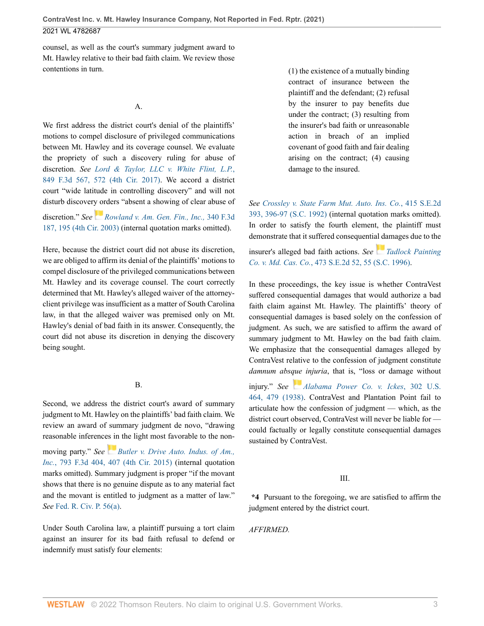**ContraVest Inc. v. Mt. Hawley Insurance Company, Not Reported in Fed. Rptr. (2021)** 2021 WL 4782687

counsel, as well as the court's summary judgment award to Mt. Hawley relative to their bad faith claim. We review those contentions in turn.

#### A.

We first address the district court's denial of the plaintiffs' motions to compel disclosure of privileged communications between Mt. Hawley and its coverage counsel. We evaluate the propriety of such a discovery ruling for abuse of discretion. *See [Lord & Taylor, LLC v. White Flint, L.P.](http://www.westlaw.com/Link/Document/FullText?findType=Y&serNum=2041131917&pubNum=0000506&originatingDoc=Id1a47f902d1311ec9510c3a598b996ba&refType=RP&fi=co_pp_sp_506_572&originationContext=document&vr=3.0&rs=cblt1.0&transitionType=DocumentItem&contextData=(sc.UserEnteredCitation)#co_pp_sp_506_572)*, [849 F.3d 567, 572 \(4th Cir. 2017\).](http://www.westlaw.com/Link/Document/FullText?findType=Y&serNum=2041131917&pubNum=0000506&originatingDoc=Id1a47f902d1311ec9510c3a598b996ba&refType=RP&fi=co_pp_sp_506_572&originationContext=document&vr=3.0&rs=cblt1.0&transitionType=DocumentItem&contextData=(sc.UserEnteredCitation)#co_pp_sp_506_572) We accord a district court "wide latitude in controlling discovery" and will not disturb discover[y or](https://1.next.westlaw.com/Link/RelatedInformation/Flag?documentGuid=I9881e2cc89e711d9903eeb4634b8d78e&transitionType=InlineKeyCiteFlags&originationContext=docHeaderFlag&Rank=0&ppcid=a69cbdeea774471ea2d3aafc2e040b83&contextData=(sc.UserEnteredCitation) )ders "absent a showing of clear abuse of discretion." *See [Rowland v. Am. Gen. Fin., Inc.,](http://www.westlaw.com/Link/Document/FullText?findType=Y&serNum=2003554483&pubNum=0000506&originatingDoc=Id1a47f902d1311ec9510c3a598b996ba&refType=RP&fi=co_pp_sp_506_195&originationContext=document&vr=3.0&rs=cblt1.0&transitionType=DocumentItem&contextData=(sc.UserEnteredCitation)#co_pp_sp_506_195)* 340 F.3d [187, 195 \(4th Cir. 2003\)](http://www.westlaw.com/Link/Document/FullText?findType=Y&serNum=2003554483&pubNum=0000506&originatingDoc=Id1a47f902d1311ec9510c3a598b996ba&refType=RP&fi=co_pp_sp_506_195&originationContext=document&vr=3.0&rs=cblt1.0&transitionType=DocumentItem&contextData=(sc.UserEnteredCitation)#co_pp_sp_506_195) (internal quotation marks omitted).

Here, because the district court did not abuse its discretion, we are obliged to affirm its denial of the plaintiffs' motions to compel disclosure of the privileged communications between Mt. Hawley and its coverage counsel. The court correctly determined that Mt. Hawley's alleged waiver of the attorneyclient privilege was insufficient as a matter of South Carolina law, in that the alleged waiver was premised only on Mt. Hawley's denial of bad faith in its answer. Consequently, the court did not abuse its discretion in denying the discovery being sought.

#### B.

Second, we address the district court's award of summary judgment to Mt. Hawley on the plaintiffs' bad faith claim. We review an award of summary judgment de novo, "drawing reasonable inferenc[es in](https://1.next.westlaw.com/Link/RelatedInformation/Flag?documentGuid=I495f77502b4c11e5a807ad48145ed9f1&transitionType=InlineKeyCiteFlags&originationContext=docHeaderFlag&Rank=0&ppcid=a69cbdeea774471ea2d3aafc2e040b83&contextData=(sc.UserEnteredCitation) ) the light most favorable to the non-

moving party." *See [Butler v. Drive Auto. Indus. of Am.,](http://www.westlaw.com/Link/Document/FullText?findType=Y&serNum=2036701250&pubNum=0000506&originatingDoc=Id1a47f902d1311ec9510c3a598b996ba&refType=RP&fi=co_pp_sp_506_407&originationContext=document&vr=3.0&rs=cblt1.0&transitionType=DocumentItem&contextData=(sc.UserEnteredCitation)#co_pp_sp_506_407) Inc.*[, 793 F.3d 404, 407 \(4th Cir. 2015\)](http://www.westlaw.com/Link/Document/FullText?findType=Y&serNum=2036701250&pubNum=0000506&originatingDoc=Id1a47f902d1311ec9510c3a598b996ba&refType=RP&fi=co_pp_sp_506_407&originationContext=document&vr=3.0&rs=cblt1.0&transitionType=DocumentItem&contextData=(sc.UserEnteredCitation)#co_pp_sp_506_407) (internal quotation marks omitted). Summary judgment is proper "if the movant shows that there is no genuine dispute as to any material fact and the movant is entitled to judgment as a matter of law." *See* [Fed. R. Civ. P. 56\(a\)](http://www.westlaw.com/Link/Document/FullText?findType=L&pubNum=1000600&cite=USFRCPR56&originatingDoc=Id1a47f902d1311ec9510c3a598b996ba&refType=LQ&originationContext=document&vr=3.0&rs=cblt1.0&transitionType=DocumentItem&contextData=(sc.UserEnteredCitation)).

Under South Carolina law, a plaintiff pursuing a tort claim against an insurer for its bad faith refusal to defend or indemnify must satisfy four elements:

(1) the existence of a mutually binding contract of insurance between the plaintiff and the defendant; (2) refusal by the insurer to pay benefits due under the contract; (3) resulting from the insurer's bad faith or unreasonable action in breach of an implied covenant of good faith and fair dealing arising on the contract; (4) causing damage to the insured.

*See [Crossley v. State Farm Mut. Auto. Ins. Co.](http://www.westlaw.com/Link/Document/FullText?findType=Y&serNum=1992052636&pubNum=0000711&originatingDoc=Id1a47f902d1311ec9510c3a598b996ba&refType=RP&fi=co_pp_sp_711_396&originationContext=document&vr=3.0&rs=cblt1.0&transitionType=DocumentItem&contextData=(sc.UserEnteredCitation)#co_pp_sp_711_396)*, 415 S.E.2d [393, 396-97 \(S.C. 1992\)](http://www.westlaw.com/Link/Document/FullText?findType=Y&serNum=1992052636&pubNum=0000711&originatingDoc=Id1a47f902d1311ec9510c3a598b996ba&refType=RP&fi=co_pp_sp_711_396&originationContext=document&vr=3.0&rs=cblt1.0&transitionType=DocumentItem&contextData=(sc.UserEnteredCitation)#co_pp_sp_711_396) (internal quotation marks omitted). In order to satisfy the fourth element, the plaintiff must demonstrate that it suffered consequenti[al da](https://1.next.westlaw.com/Link/RelatedInformation/Flag?documentGuid=Ib3e48cfd038311da8ac8f235252e36df&transitionType=InlineKeyCiteFlags&originationContext=docHeaderFlag&Rank=0&ppcid=a69cbdeea774471ea2d3aafc2e040b83&contextData=(sc.UserEnteredCitation) )mages due to the insurer's alleged bad faith actions. *See [Tadlock Painting](http://www.westlaw.com/Link/Document/FullText?findType=Y&serNum=1996159963&pubNum=0000711&originatingDoc=Id1a47f902d1311ec9510c3a598b996ba&refType=RP&fi=co_pp_sp_711_55&originationContext=document&vr=3.0&rs=cblt1.0&transitionType=DocumentItem&contextData=(sc.UserEnteredCitation)#co_pp_sp_711_55)*

*Co. v. Md. Cas. Co.*[, 473 S.E.2d 52, 55 \(S.C. 1996\).](http://www.westlaw.com/Link/Document/FullText?findType=Y&serNum=1996159963&pubNum=0000711&originatingDoc=Id1a47f902d1311ec9510c3a598b996ba&refType=RP&fi=co_pp_sp_711_55&originationContext=document&vr=3.0&rs=cblt1.0&transitionType=DocumentItem&contextData=(sc.UserEnteredCitation)#co_pp_sp_711_55) In these proceedings, the key issue is whether ContraVest

suffered consequential damages that would authorize a bad faith claim against Mt. Hawley. The plaintiffs' theory of consequential damages is based solely on the confession of judgment. As such, we are satisfied to affirm the award of summary judgment to Mt. Hawley on the bad faith claim. We emphasize that the consequential damages alleged by ContraVest relative to the confession of judgment constitute *damnum abs[que](https://1.next.westlaw.com/Link/RelatedInformation/Flag?documentGuid=Ic0d7bd759cb811d991d0cc6b54f12d4d&transitionType=InlineKeyCiteFlags&originationContext=docHeaderFlag&Rank=0&ppcid=a69cbdeea774471ea2d3aafc2e040b83&contextData=(sc.UserEnteredCitation) ) injuria*, that is, "loss or damage without

injury." *See [Alabama Power Co. v. Ickes](http://www.westlaw.com/Link/Document/FullText?findType=Y&serNum=1938121866&pubNum=0000780&originatingDoc=Id1a47f902d1311ec9510c3a598b996ba&refType=RP&fi=co_pp_sp_780_479&originationContext=document&vr=3.0&rs=cblt1.0&transitionType=DocumentItem&contextData=(sc.UserEnteredCitation)#co_pp_sp_780_479)*, 302 U.S. [464, 479 \(1938\)](http://www.westlaw.com/Link/Document/FullText?findType=Y&serNum=1938121866&pubNum=0000780&originatingDoc=Id1a47f902d1311ec9510c3a598b996ba&refType=RP&fi=co_pp_sp_780_479&originationContext=document&vr=3.0&rs=cblt1.0&transitionType=DocumentItem&contextData=(sc.UserEnteredCitation)#co_pp_sp_780_479). ContraVest and Plantation Point fail to articulate how the confession of judgment — which, as the district court observed, ContraVest will never be liable for could factually or legally constitute consequential damages sustained by ContraVest.

# III.

**\*4** Pursuant to the foregoing, we are satisfied to affirm the judgment entered by the district court.

*AFFIRMED.*